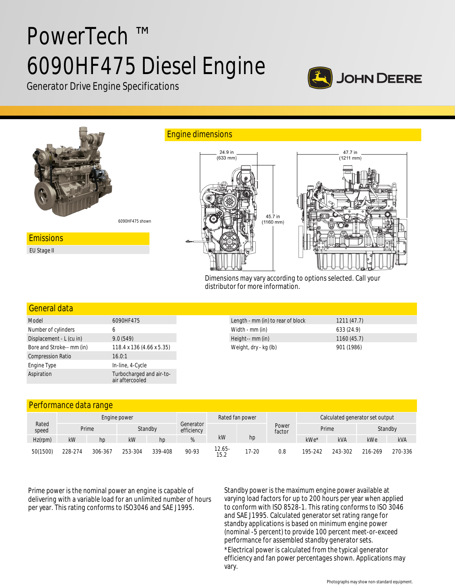# PowerTech ™ 6090HF475 Diesel Engine



Generator Drive Engine Specifications



Dimensions may vary according to options selected. Call your distributor for more information.

## General data

| Model                     | 6090HF475                                   |  |  |  |  |
|---------------------------|---------------------------------------------|--|--|--|--|
| Number of cylinders       | 6                                           |  |  |  |  |
| Displacement - L (cu in)  | 9.0(549)                                    |  |  |  |  |
| Bore and Stroke-- mm (in) | 118.4 x 136 (4.66 x 5.35)                   |  |  |  |  |
| <b>Compression Ratio</b>  | 16.0:1                                      |  |  |  |  |
| Engine Type               | In-line, 4-Cycle                            |  |  |  |  |
| Aspiration                | Turbocharged and air-to-<br>air aftercooled |  |  |  |  |

| Length - mm (in) to rear of block | 1211(47.7) |  |
|-----------------------------------|------------|--|
| Width - mm (in)                   | 633 (24.9) |  |
| Height-- mm (in)                  | 1160(45.7) |  |
| Weight, dry - kg (lb)             | 901 (1986) |  |

## Performance data range

| Rated<br>speed | Engine power |         |         |         | Rated fan power         |                |           | Calculated generator set output |         |            |         |         |
|----------------|--------------|---------|---------|---------|-------------------------|----------------|-----------|---------------------------------|---------|------------|---------|---------|
|                | Prime        |         |         | Standby | Generator<br>efficiency |                |           | Power<br>factor                 | Prime   |            | Standby |         |
| Hz(rpm)        | kW           | hp      | kW      | hp      | %                       | kW             | hp        |                                 | $kWe*$  | <b>kVA</b> | kWe     | kVA     |
| 50(1500)       | 228-274      | 306-367 | 253-304 | 339-408 | 90-93                   | 12.65-<br>15.2 | $17 - 20$ | 0.8                             | 195-242 | 243-302    | 216-269 | 270-336 |

Prime power is the nominal power an engine is capable of delivering with a variable load for an unlimited number of hours per year. This rating conforms to ISO3046 and SAE J1995.

Standby power is the maximum engine power available at varying load factors for up to 200 hours per year when applied to conform with ISO 8528-1. This rating conforms to ISO 3046 and SAE J1995. Calculated generator set rating range for standby applications is based on minimum engine power (nominal -5 percent) to provide 100 percent meet-or-exceed performance for assembled standby generator sets. \*Electrical power is calculated from the typical generator efficiency and fan power percentages shown. Applications may

vary.